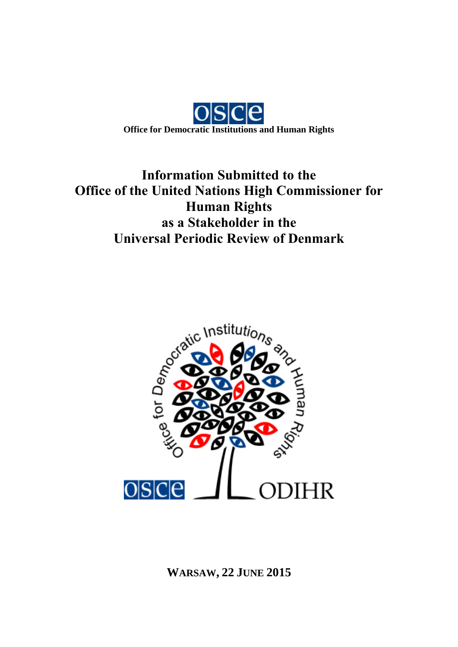

# **Information Submitted to the Office of the United Nations High Commissioner for Human Rights as a Stakeholder in the Universal Periodic Review of Denmark**



**WARSAW, 22 JUNE 2015**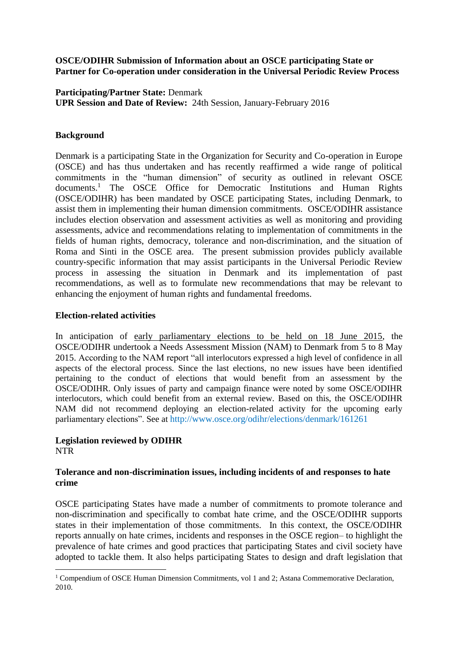#### **OSCE/ODIHR Submission of Information about an OSCE participating State or Partner for Co-operation under consideration in the Universal Periodic Review Process**

**Participating/Partner State:** Denmark **UPR Session and Date of Review:** 24th Session, January-February 2016

# **Background**

Denmark is a participating State in the Organization for Security and Co-operation in Europe (OSCE) and has thus undertaken and has recently reaffirmed a wide range of political commitments in the "human dimension" of security as outlined in relevant OSCE documents.<sup>1</sup> The OSCE Office for Democratic Institutions and Human Rights (OSCE/ODIHR) has been mandated by OSCE participating States, including Denmark, to assist them in implementing their human dimension commitments. OSCE/ODIHR assistance includes election observation and assessment activities as well as monitoring and providing assessments, advice and recommendations relating to implementation of commitments in the fields of human rights, democracy, tolerance and non-discrimination, and the situation of Roma and Sinti in the OSCE area. The present submission provides publicly available country-specific information that may assist participants in the Universal Periodic Review process in assessing the situation in Denmark and its implementation of past recommendations, as well as to formulate new recommendations that may be relevant to enhancing the enjoyment of human rights and fundamental freedoms.

#### **Election-related activities**

In anticipation of early parliamentary elections to be held on 18 June 2015, the OSCE/ODIHR undertook a Needs Assessment Mission (NAM) to Denmark from 5 to 8 May 2015. According to the NAM report "all interlocutors expressed a high level of confidence in all aspects of the electoral process. Since the last elections, no new issues have been identified pertaining to the conduct of elections that would benefit from an assessment by the OSCE/ODIHR. Only issues of party and campaign finance were noted by some OSCE/ODIHR interlocutors, which could benefit from an external review. Based on this, the OSCE/ODIHR NAM did not recommend deploying an election-related activity for the upcoming early parliamentary elections". See at [http://www.osce.org/odihr/elections/denmark/161261](http://www.osce.org/odihr/elections/denmark/161261?download=true)

#### **Legislation reviewed by ODIHR** NTR

# **Tolerance and non-discrimination issues, including incidents of and responses to hate crime**

OSCE participating States have made a number of commitments to promote tolerance and non-discrimination and specifically to combat hate crime, and the OSCE/ODIHR supports states in their implementation of those commitments. In this context, the OSCE/ODIHR reports annually on hate crimes, incidents and responses in the OSCE region– to highlight the prevalence of hate crimes and good practices that participating States and civil society have adopted to tackle them. It also helps participating States to design and draft legislation that

<sup>1</sup> <sup>1</sup> Compendium of OSCE Human Dimension Commitments, vol 1 and 2; Astana Commemorative Declaration, 2010.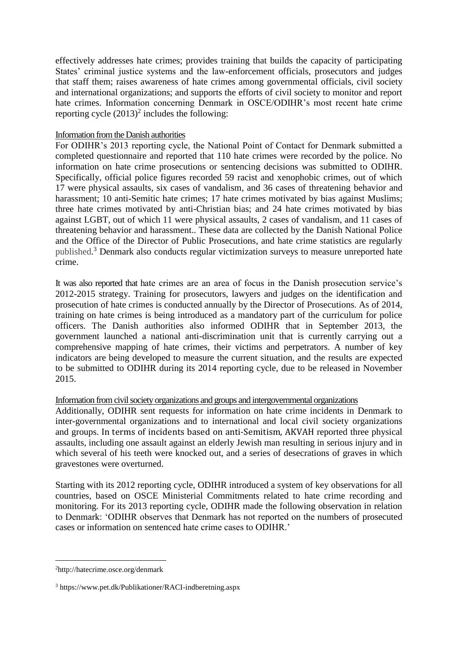effectively addresses hate crimes; provides training that builds the capacity of participating States' criminal justice systems and the law-enforcement officials, prosecutors and judges that staff them; raises awareness of hate crimes among governmental officials, civil society and international organizations; and supports the efforts of civil society to monitor and report hate crimes. Information concerning Denmark in OSCE/ODIHR's most recent hate crime reporting cycle  $(2013)^2$  includes the following:

# Information from the Danish authorities

For ODIHR's 2013 reporting cycle, the National Point of Contact for Denmark submitted a completed questionnaire and reported that 110 hate crimes were recorded by the police. No information on hate crime prosecutions or sentencing decisions was submitted to ODIHR. Specifically, official police figures recorded 59 racist and xenophobic crimes, out of which 17 were physical assaults, six cases of vandalism, and 36 cases of threatening behavior and harassment; 10 anti-Semitic hate crimes; 17 hate crimes motivated by bias against Muslims; three hate crimes motivated by anti-Christian bias; and 24 hate crimes motivated by bias against LGBT, out of which 11 were physical assaults, 2 cases of vandalism, and 11 cases of threatening behavior and harassment.. These data are collected by the Danish National Police and the Office of the Director of Public Prosecutions, and hate crime statistics are regularly [published.](http://www.pet.dk/Publikationer/RACI-indberetning.aspx)<sup>3</sup> Denmark also conducts regular victimization surveys to measure unreported hate crime.

It was also reported that hate crimes are an area of focus in the Danish prosecution service's 2012-2015 strategy. Training for prosecutors, lawyers and judges on the identification and prosecution of hate crimes is conducted annually by the Director of Prosecutions. As of 2014, training on hate crimes is being introduced as a mandatory part of the curriculum for police officers. The Danish authorities also informed ODIHR that in September 2013, the government launched a national anti-discrimination unit that is currently carrying out a comprehensive mapping of hate crimes, their victims and perpetrators. A number of key indicators are being developed to measure the current situation, and the results are expected to be submitted to ODIHR during its 2014 reporting cycle, due to be released in November 2015.

# Information from civil society organizations and groups and intergovernmental organizations

Additionally, ODIHR sent requests for information on hate crime incidents in Denmark to inter-governmental organizations and to international and local civil society organizations and groups. In terms of incidents based on anti-Semitism, AKVAH reported three physical assaults, including one assault against an elderly Jewish man resulting in serious injury and in which several of his teeth were knocked out, and a series of desecrations of graves in which gravestones were overturned.

Starting with its 2012 reporting cycle, ODIHR introduced a system of key observations for all countries, based on OSCE Ministerial Commitments related to hate crime recording and monitoring. For its 2013 reporting cycle, ODIHR made the following observation in relation to Denmark: 'ODIHR observes that Denmark has not reported on the numbers of prosecuted cases or information on sentenced hate crime cases to ODIHR.'

<u>.</u>

<sup>2</sup>http://hatecrime.osce.org/denmark

<sup>3</sup> https://www.pet.dk/Publikationer/RACI-indberetning.aspx